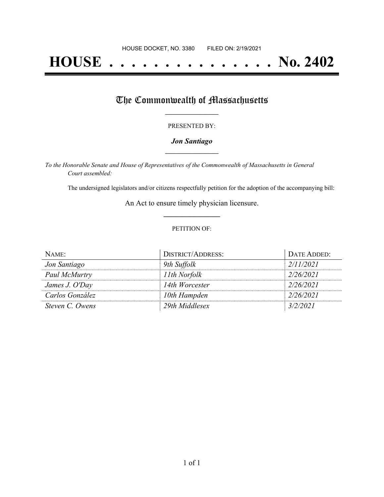# **HOUSE . . . . . . . . . . . . . . . No. 2402**

## The Commonwealth of Massachusetts

#### PRESENTED BY:

#### *Jon Santiago* **\_\_\_\_\_\_\_\_\_\_\_\_\_\_\_\_\_**

*To the Honorable Senate and House of Representatives of the Commonwealth of Massachusetts in General Court assembled:*

The undersigned legislators and/or citizens respectfully petition for the adoption of the accompanying bill:

An Act to ensure timely physician licensure. **\_\_\_\_\_\_\_\_\_\_\_\_\_\_\_**

#### PETITION OF:

| NAME:           | <b>DISTRICT/ADDRESS:</b> | DATE ADDED: |
|-----------------|--------------------------|-------------|
| Jon Santiago    | 9th Suffolk              | 2/11/2021   |
| Paul McMurtry   | 11th Norfolk             | 2/26/2021   |
| James J. O'Day  | 14th Worcester           | 2/26/2021   |
| Carlos González | 10th Hampden             | 2/26/2021   |
| Steven C. Owens | 29th Middlesex           | 3/2/2021    |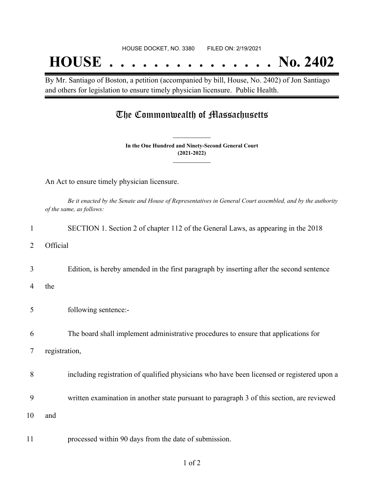## **HOUSE . . . . . . . . . . . . . . . No. 2402**

By Mr. Santiago of Boston, a petition (accompanied by bill, House, No. 2402) of Jon Santiago and others for legislation to ensure timely physician licensure. Public Health.

### The Commonwealth of Massachusetts

**In the One Hundred and Ninety-Second General Court (2021-2022) \_\_\_\_\_\_\_\_\_\_\_\_\_\_\_**

**\_\_\_\_\_\_\_\_\_\_\_\_\_\_\_**

An Act to ensure timely physician licensure.

Be it enacted by the Senate and House of Representatives in General Court assembled, and by the authority *of the same, as follows:*

| 1  | SECTION 1. Section 2 of chapter 112 of the General Laws, as appearing in the 2018          |
|----|--------------------------------------------------------------------------------------------|
| 2  | Official                                                                                   |
| 3  | Edition, is hereby amended in the first paragraph by inserting after the second sentence   |
| 4  | the                                                                                        |
| 5  | following sentence:-                                                                       |
| 6  | The board shall implement administrative procedures to ensure that applications for        |
| 7  | registration,                                                                              |
| 8  | including registration of qualified physicians who have been licensed or registered upon a |
| 9  | written examination in another state pursuant to paragraph 3 of this section, are reviewed |
| 10 | and                                                                                        |
| 11 | processed within 90 days from the date of submission.                                      |

1 of 2